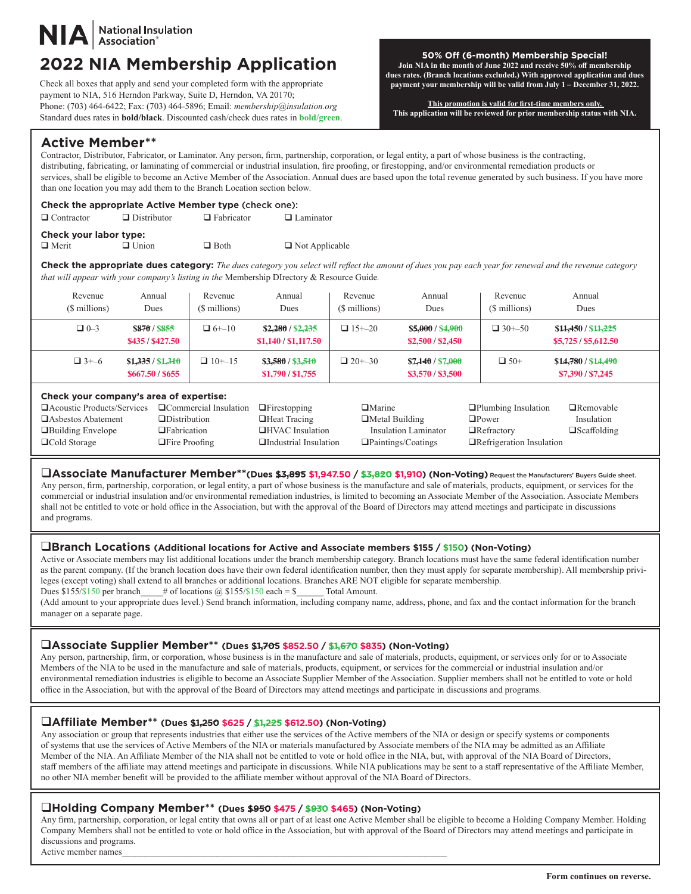# National Insulation<br>Association®

## **2022 NIA Membership Application 50% Off (6-month) Membership Special!**<br> **50% Off (6-month)** Membership Special!

Check all boxes that apply and send your completed form with the appropriate payment to NIA, 516 Herndon Parkway, Suite D, Herndon, VA 20170; Phone: (703) 464-6422; Fax: (703) 464-5896; Email: *membership@insulation.org*  Standard dues rates in **bold/black**. Discounted cash/check dues rates in **bold/green**.

#### **Join NIA in the month of June 2022 and receive 50% off membership dues rates. (Branch locations excluded.) With approved application and dues payment your membership will be valid from July 1 – December 31, 2022.**

**This promotion is valid for first-time members only. This application will be reviewed for prior membership status with NIA.**

### **Active Member\*\***

Contractor, Distributor, Fabricator, or Laminator. Any person, firm, partnership, corporation, or legal entity, a part of whose business is the contracting, distributing, fabricating, or laminating of commercial or industrial insulation, fire proofing, or firestopping, and/or environmental remediation products or services, shall be eligible to become an Active Member of the Association. Annual dues are based upon the total revenue generated by such business. If you have more than one location you may add them to the Branch Location section below.

#### **Check the appropriate Active Member type** (check one):

| $\Box$ Contractor      | $\Box$ Distributor | $\Box$ Fabricator | $\Box$ Laminator      |
|------------------------|--------------------|-------------------|-----------------------|
| Check your labor type: |                    |                   |                       |
| $\Box$ Merit           | $\Box$ Union       | $\Box$ Both       | $\Box$ Not Applicable |

**Check the appropriate dues category:** *The dues category you select will reflect the amount of dues you pay each year for renewal and the revenue category that will appear with your company's listing in the* Membership DIrectory & Resource Guide*.*

| Revenue<br>(\$ millions)                                                                                                                                                                                                                   | Annual<br>Dues                        | Revenue<br>(\$ millions)                                                                       | Annual<br>Dues                            | Revenue<br>(\$ millions)                          | Annual<br>Dues                                                                               | Revenue<br>(\$ millions)                                | Annual<br><b>Dues</b>                       |  |
|--------------------------------------------------------------------------------------------------------------------------------------------------------------------------------------------------------------------------------------------|---------------------------------------|------------------------------------------------------------------------------------------------|-------------------------------------------|---------------------------------------------------|----------------------------------------------------------------------------------------------|---------------------------------------------------------|---------------------------------------------|--|
| $\Box$ 0-3                                                                                                                                                                                                                                 | <b>S870/S855</b><br>\$435/\$427.50    | $\Box$ 6+-10                                                                                   | \$2,280 / \$2,235<br>\$1,140 / \$1,117.50 | $\Box$ 15+-20                                     | \$5,000 / \$4,900<br>\$2,500 / \$2,450                                                       | $\Box$ 30+-50                                           | \$11,450 / \$11,225<br>\$5,725 / \$5,612.50 |  |
| $\Box$ 3+-6                                                                                                                                                                                                                                | \$1,335 / \$1,310<br>\$667.50 / \$655 | $\Box$ 10+-15                                                                                  | \$3,580 / \$3,510<br>\$1,790 / \$1,755    | $\Box$ 20+-30                                     | \$7.140 / \$7.000<br>\$3,570/\$3,500                                                         | $\Box$ 50+                                              | \$14,780 / \$14,490<br>\$7,390 / \$7,245    |  |
| Check your company's area of expertise:<br><b>Commercial Insulation</b><br>□ Acoustic Products/Services<br>□Asbestos Abatement<br>$\Box$ Distribution<br>$\Box$ Fabrication<br>□Building Envelope<br>□Cold Storage<br>$\Box$ Fire Proofing |                                       | $\Box$ Firestopping<br>$\Box$ Heat Tracing<br>□HVAC Insulation<br>$\Box$ Industrial Insulation | $\Box$ Marine<br>$\Box$ Metal Building    | Insulation Laminator<br>$\Box$ Paintings/Coatings | $\Box$ Plumbing Insulation<br>$\Box$ Power<br>$\Box$ Refractory<br>□Refrigeration Insulation | $\Box$ Removable<br>Insulation<br>$\square$ Scaffolding |                                             |  |

q**Associate Manufacturer Member\*\*(Dues \$3,895 \$1,947.50 / \$3,820 \$1,910) (Non-Voting)** Request the Manufacturers' Buyers Guide sheet. Any person, firm, partnership, corporation, or legal entity, a part of whose business is the manufacture and sale of materials, products, equipment, or services for the commercial or industrial insulation and/or environmental remediation industries, is limited to becoming an Associate Member of the Association. Associate Members shall not be entitled to vote or hold office in the Association, but with the approval of the Board of Directors may attend meetings and participate in discussions and programs.

#### q**Branch Locations (Additional locations for Active and Associate members \$155 / \$150) (Non-Voting)**

Active or Associate members may list additional locations under the branch membership category. Branch locations must have the same federal identification number as the parent company. (If the branch location does have their own federal identification number, then they must apply for separate membership). All membership privileges (except voting) shall extend to all branches or additional locations. Branches ARE NOT eligible for separate membership. Dues  $$155/\$150$  per branch # of locations @  $$155/\$150$  each = \$ Total Amount.

(Add amount to your appropriate dues level.) Send branch information, including company name, address, phone, and fax and the contact information for the branch manager on a separate page.

#### q**Associate Supplier Member\*\* (Dues \$1,705 \$852.50 / \$1,670 \$835) (Non-Voting)**

Any person, partnership, firm, or corporation, whose business is in the manufacture and sale of materials, products, equipment, or services only for or to Associate Members of the NIA to be used in the manufacture and sale of materials, products, equipment, or services for the commercial or industrial insulation and/or environmental remediation industries is eligible to become an Associate Supplier Member of the Association. Supplier members shall not be entitled to vote or hold office in the Association, but with the approval of the Board of Directors may attend meetings and participate in discussions and programs.

#### q**Affiliate Member\*\* (Dues \$1,250 \$625 / \$1,225 \$612.50) (Non-Voting)**

Any association or group that represents industries that either use the services of the Active members of the NIA or design or specify systems or components of systems that use the services of Active Members of the NIA or materials manufactured by Associate members of the NIA may be admitted as an Affiliate Member of the NIA. An Affiliate Member of the NIA shall not be entitled to vote or hold office in the NIA, but, with approval of the NIA Board of Directors, staff members of the affiliate may attend meetings and participate in discussions. While NIA publications may be sent to a staff representative of the Affiliate Member, no other NIA member benefit will be provided to the affiliate member without approval of the NIA Board of Directors.

#### q**Holding Company Member\*\* (Dues \$950 \$475 / \$930 \$465) (Non-Voting)**

Any firm, partnership, corporation, or legal entity that owns all or part of at least one Active Member shall be eligible to become a Holding Company Member. Holding Company Members shall not be entitled to vote or hold office in the Association, but with approval of the Board of Directors may attend meetings and participate in discussions and programs. Active member names

**Form continues on reverse.**